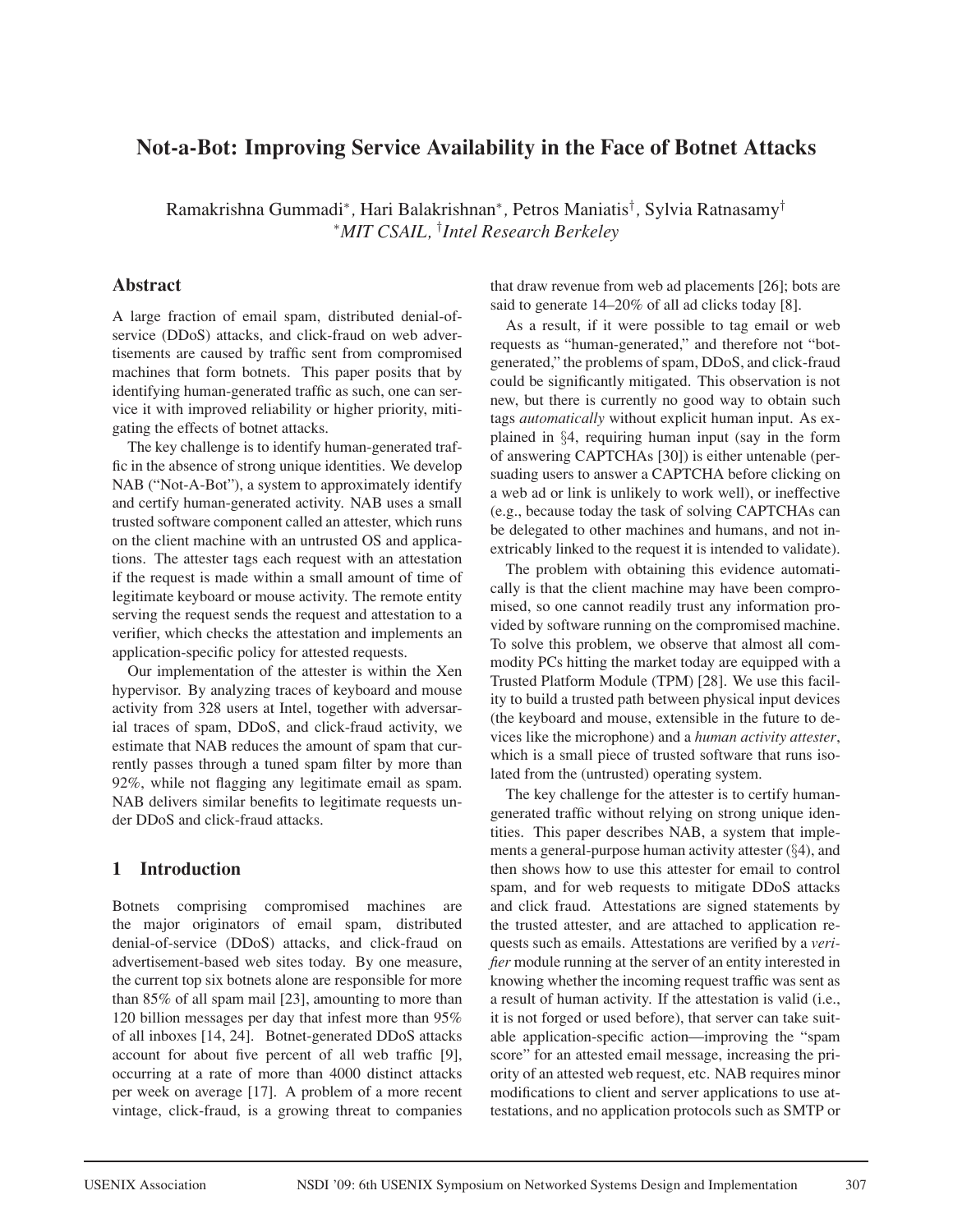# **Not-a-Bot: Improving Service Availability in the Face of Botnet Attacks**

Ramakrishna Gummadi<sup>∗</sup>*,* Hari Balakrishnan<sup>∗</sup>*,* Petros Maniatis† *,* Sylvia Ratnasamy† <sup>∗</sup>*MIT CSAIL,* † *Intel Research Berkeley*

## **Abstract**

A large fraction of email spam, distributed denial-ofservice (DDoS) attacks, and click-fraud on web advertisements are caused by traffic sent from compromised machines that form botnets. This paper posits that by identifying human-generated traffic as such, one can service it with improved reliability or higher priority, mitigating the effects of botnet attacks.

The key challenge is to identify human-generated traffic in the absence of strong unique identities. We develop NAB ("Not-A-Bot"), a system to approximately identify and certify human-generated activity. NAB uses a small trusted software component called an attester, which runs on the client machine with an untrusted OS and applications. The attester tags each request with an attestation if the request is made within a small amount of time of legitimate keyboard or mouse activity. The remote entity serving the request sends the request and attestation to a verifier, which checks the attestation and implements an application-specific policy for attested requests.

Our implementation of the attester is within the Xen hypervisor. By analyzing traces of keyboard and mouse activity from 328 users at Intel, together with adversarial traces of spam, DDoS, and click-fraud activity, we estimate that NAB reduces the amount of spam that currently passes through a tuned spam filter by more than 92%, while not flagging any legitimate email as spam. NAB delivers similar benefits to legitimate requests under DDoS and click-fraud attacks.

## **1 Introduction**

Botnets comprising compromised machines are the major originators of email spam, distributed denial-of-service (DDoS) attacks, and click-fraud on advertisement-based web sites today. By one measure, the current top six botnets alone are responsible for more than 85% of all spam mail [23], amounting to more than 120 billion messages per day that infest more than 95% of all inboxes [14, 24]. Botnet-generated DDoS attacks account for about five percent of all web traffic [9], occurring at a rate of more than 4000 distinct attacks per week on average [17]. A problem of a more recent vintage, click-fraud, is a growing threat to companies

that draw revenue from web ad placements [26]; bots are said to generate 14–20% of all ad clicks today [8].

As a result, if it were possible to tag email or web requests as "human-generated," and therefore not "botgenerated," the problems of spam, DDoS, and click-fraud could be significantly mitigated. This observation is not new, but there is currently no good way to obtain such tags *automatically* without explicit human input. As explained in §4, requiring human input (say in the form of answering CAPTCHAs [30]) is either untenable (persuading users to answer a CAPTCHA before clicking on a web ad or link is unlikely to work well), or ineffective (e.g., because today the task of solving CAPTCHAs can be delegated to other machines and humans, and not inextricably linked to the request it is intended to validate).

The problem with obtaining this evidence automatically is that the client machine may have been compromised, so one cannot readily trust any information provided by software running on the compromised machine. To solve this problem, we observe that almost all commodity PCs hitting the market today are equipped with a Trusted Platform Module (TPM) [28]. We use this facility to build a trusted path between physical input devices (the keyboard and mouse, extensible in the future to devices like the microphone) and a *human activity attester*, which is a small piece of trusted software that runs isolated from the (untrusted) operating system.

The key challenge for the attester is to certify humangenerated traffic without relying on strong unique identities. This paper describes NAB, a system that implements a general-purpose human activity attester (§4), and then shows how to use this attester for email to control spam, and for web requests to mitigate DDoS attacks and click fraud. Attestations are signed statements by the trusted attester, and are attached to application requests such as emails. Attestations are verified by a *verifier* module running at the server of an entity interested in knowing whether the incoming request traffic was sent as a result of human activity. If the attestation is valid (i.e., it is not forged or used before), that server can take suitable application-specific action—improving the "spam score" for an attested email message, increasing the priority of an attested web request, etc. NAB requires minor modifications to client and server applications to use attestations, and no application protocols such as SMTP or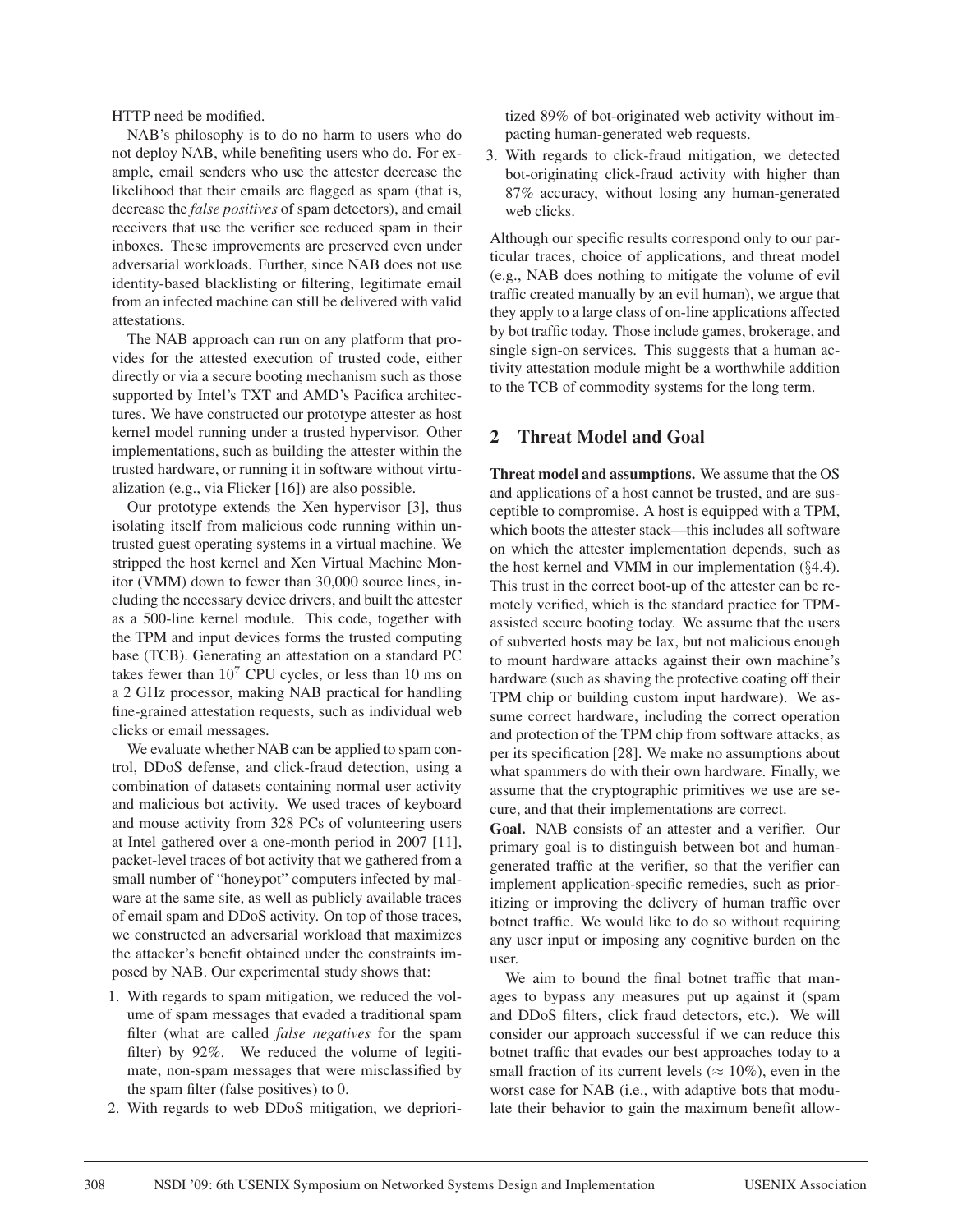HTTP need be modified.

NAB's philosophy is to do no harm to users who do not deploy NAB, while benefiting users who do. For example, email senders who use the attester decrease the likelihood that their emails are flagged as spam (that is, decrease the *false positives* of spam detectors), and email receivers that use the verifier see reduced spam in their inboxes. These improvements are preserved even under adversarial workloads. Further, since NAB does not use identity-based blacklisting or filtering, legitimate email from an infected machine can still be delivered with valid attestations.

The NAB approach can run on any platform that provides for the attested execution of trusted code, either directly or via a secure booting mechanism such as those supported by Intel's TXT and AMD's Pacifica architectures. We have constructed our prototype attester as host kernel model running under a trusted hypervisor. Other implementations, such as building the attester within the trusted hardware, or running it in software without virtualization (e.g., via Flicker [16]) are also possible.

Our prototype extends the Xen hypervisor [3], thus isolating itself from malicious code running within untrusted guest operating systems in a virtual machine. We stripped the host kernel and Xen Virtual Machine Monitor (VMM) down to fewer than 30,000 source lines, including the necessary device drivers, and built the attester as a 500-line kernel module. This code, together with the TPM and input devices forms the trusted computing base (TCB). Generating an attestation on a standard PC takes fewer than  $10^7$  CPU cycles, or less than 10 ms on a 2 GHz processor, making NAB practical for handling fine-grained attestation requests, such as individual web clicks or email messages.

We evaluate whether NAB can be applied to spam control, DDoS defense, and click-fraud detection, using a combination of datasets containing normal user activity and malicious bot activity. We used traces of keyboard and mouse activity from 328 PCs of volunteering users at Intel gathered over a one-month period in 2007 [11], packet-level traces of bot activity that we gathered from a small number of "honeypot" computers infected by malware at the same site, as well as publicly available traces of email spam and DDoS activity. On top of those traces, we constructed an adversarial workload that maximizes the attacker's benefit obtained under the constraints imposed by NAB. Our experimental study shows that:

- 1. With regards to spam mitigation, we reduced the volume of spam messages that evaded a traditional spam filter (what are called *false negatives* for the spam filter) by 92%. We reduced the volume of legitimate, non-spam messages that were misclassified by the spam filter (false positives) to 0.
- 2. With regards to web DDoS mitigation, we depriori-

tized 89% of bot-originated web activity without impacting human-generated web requests.

3. With regards to click-fraud mitigation, we detected bot-originating click-fraud activity with higher than 87% accuracy, without losing any human-generated web clicks.

Although our specific results correspond only to our particular traces, choice of applications, and threat model (e.g., NAB does nothing to mitigate the volume of evil traffic created manually by an evil human), we argue that they apply to a large class of on-line applications affected by bot traffic today. Those include games, brokerage, and single sign-on services. This suggests that a human activity attestation module might be a worthwhile addition to the TCB of commodity systems for the long term.

## **2 Threat Model and Goal**

**Threat model and assumptions.** We assume that the OS and applications of a host cannot be trusted, and are susceptible to compromise. A host is equipped with a TPM, which boots the attester stack—this includes all software on which the attester implementation depends, such as the host kernel and VMM in our implementation  $(\S 4.4)$ . This trust in the correct boot-up of the attester can be remotely verified, which is the standard practice for TPMassisted secure booting today. We assume that the users of subverted hosts may be lax, but not malicious enough to mount hardware attacks against their own machine's hardware (such as shaving the protective coating off their TPM chip or building custom input hardware). We assume correct hardware, including the correct operation and protection of the TPM chip from software attacks, as per its specification [28]. We make no assumptions about what spammers do with their own hardware. Finally, we assume that the cryptographic primitives we use are secure, and that their implementations are correct.

**Goal.** NAB consists of an attester and a verifier. Our primary goal is to distinguish between bot and humangenerated traffic at the verifier, so that the verifier can implement application-specific remedies, such as prioritizing or improving the delivery of human traffic over botnet traffic. We would like to do so without requiring any user input or imposing any cognitive burden on the user.

We aim to bound the final botnet traffic that manages to bypass any measures put up against it (spam and DDoS filters, click fraud detectors, etc.). We will consider our approach successful if we can reduce this botnet traffic that evades our best approaches today to a small fraction of its current levels ( $\approx 10\%$ ), even in the worst case for NAB (i.e., with adaptive bots that modulate their behavior to gain the maximum benefit allow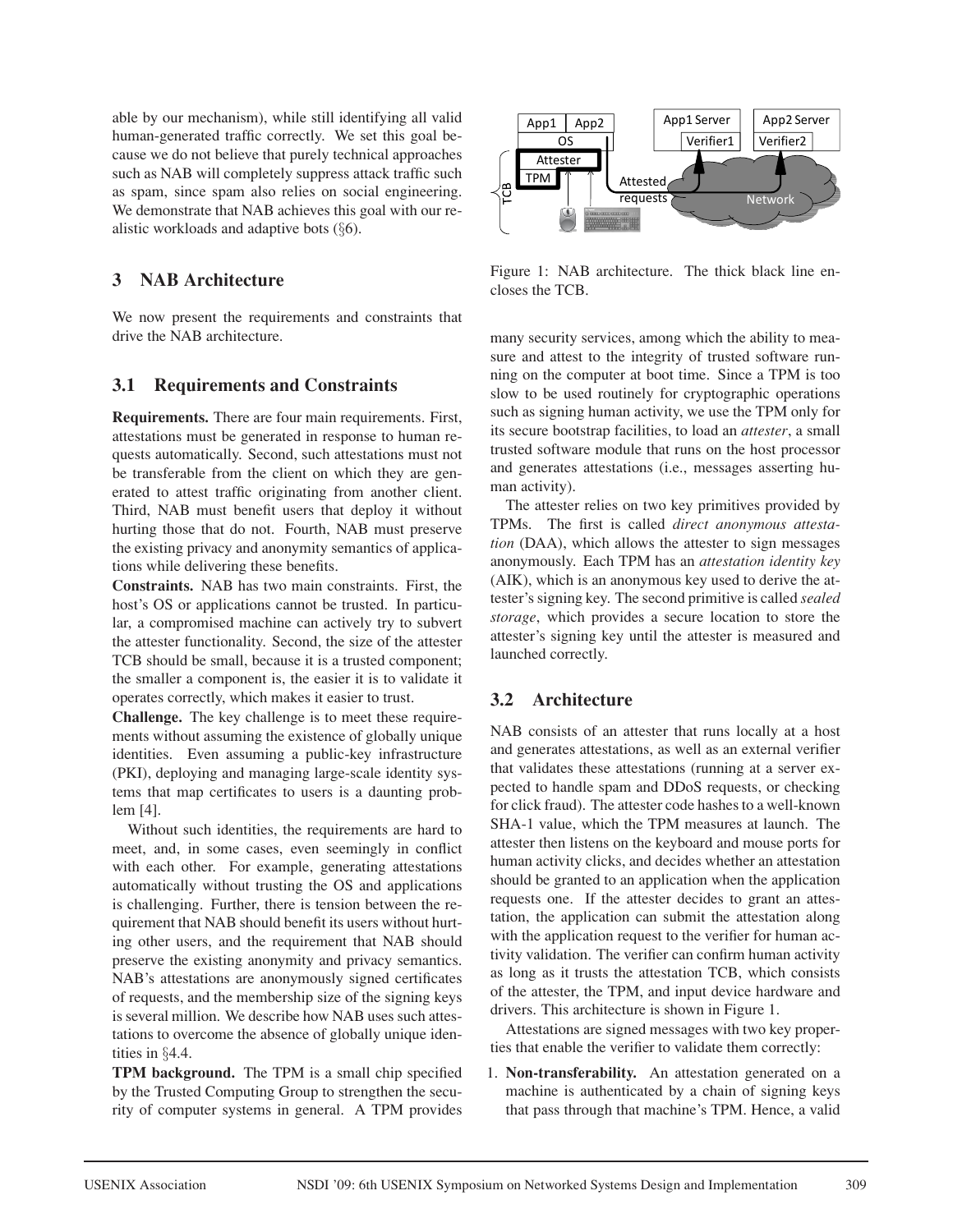able by our mechanism), while still identifying all valid human-generated traffic correctly. We set this goal because we do not believe that purely technical approaches such as NAB will completely suppress attack traffic such as spam, since spam also relies on social engineering. We demonstrate that NAB achieves this goal with our realistic workloads and adaptive bots (§6).

# **3 NAB Architecture**

We now present the requirements and constraints that drive the NAB architecture.

## **3.1 Requirements and Constraints**

**Requirements.** There are four main requirements. First, attestations must be generated in response to human requests automatically. Second, such attestations must not be transferable from the client on which they are generated to attest traffic originating from another client. Third, NAB must benefit users that deploy it without hurting those that do not. Fourth, NAB must preserve the existing privacy and anonymity semantics of applications while delivering these benefits.

**Constraints.** NAB has two main constraints. First, the host's OS or applications cannot be trusted. In particular, a compromised machine can actively try to subvert the attester functionality. Second, the size of the attester TCB should be small, because it is a trusted component; the smaller a component is, the easier it is to validate it operates correctly, which makes it easier to trust.

**Challenge.** The key challenge is to meet these requirements without assuming the existence of globally unique identities. Even assuming a public-key infrastructure (PKI), deploying and managing large-scale identity systems that map certificates to users is a daunting problem [4].

Without such identities, the requirements are hard to meet, and, in some cases, even seemingly in conflict with each other. For example, generating attestations automatically without trusting the OS and applications is challenging. Further, there is tension between the requirement that NAB should benefit its users without hurting other users, and the requirement that NAB should preserve the existing anonymity and privacy semantics. NAB's attestations are anonymously signed certificates of requests, and the membership size of the signing keys is several million. We describe how NAB uses such attestations to overcome the absence of globally unique identities in §4.4.

**TPM background.** The TPM is a small chip specified by the Trusted Computing Group to strengthen the security of computer systems in general. A TPM provides



Figure 1: NAB architecture. The thick black line encloses the TCB.

many security services, among which the ability to measure and attest to the integrity of trusted software running on the computer at boot time. Since a TPM is too slow to be used routinely for cryptographic operations such as signing human activity, we use the TPM only for its secure bootstrap facilities, to load an *attester*, a small trusted software module that runs on the host processor and generates attestations (i.e., messages asserting human activity).

The attester relies on two key primitives provided by TPMs. The first is called *direct anonymous attestation* (DAA), which allows the attester to sign messages anonymously. Each TPM has an *attestation identity key* (AIK), which is an anonymous key used to derive the attester's signing key. The second primitive is called *sealed storage*, which provides a secure location to store the attester's signing key until the attester is measured and launched correctly.

## **3.2 Architecture**

NAB consists of an attester that runs locally at a host and generates attestations, as well as an external verifier that validates these attestations (running at a server expected to handle spam and DDoS requests, or checking for click fraud). The attester code hashes to a well-known SHA-1 value, which the TPM measures at launch. The attester then listens on the keyboard and mouse ports for human activity clicks, and decides whether an attestation should be granted to an application when the application requests one. If the attester decides to grant an attestation, the application can submit the attestation along with the application request to the verifier for human activity validation. The verifier can confirm human activity as long as it trusts the attestation TCB, which consists of the attester, the TPM, and input device hardware and drivers. This architecture is shown in Figure 1.

Attestations are signed messages with two key properties that enable the verifier to validate them correctly:

1. **Non-transferability.** An attestation generated on a machine is authenticated by a chain of signing keys that pass through that machine's TPM. Hence, a valid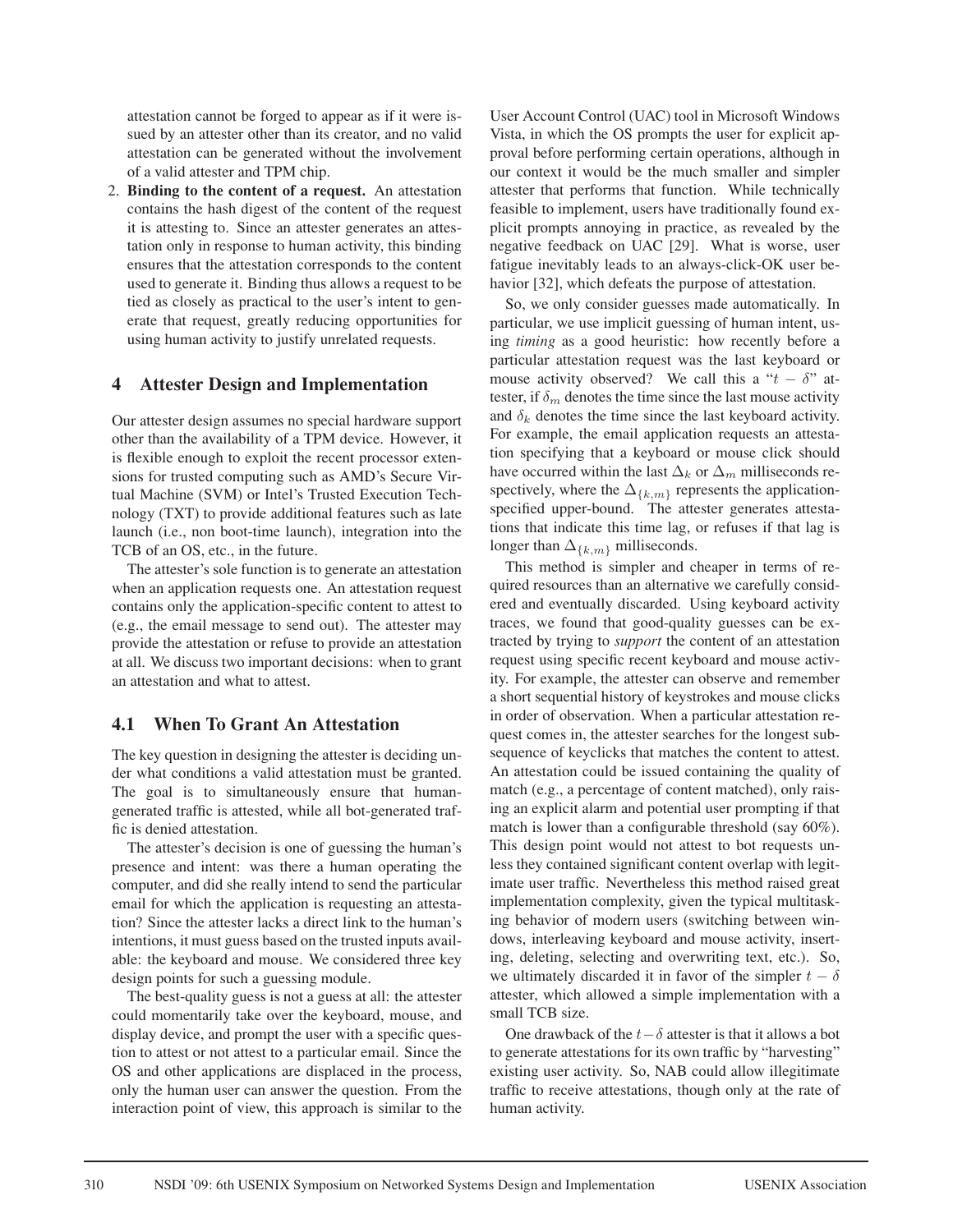attestation cannot be forged to appear as if it were issued by an attester other than its creator, and no valid attestation can be generated without the involvement of a valid attester and TPM chip.

2. **Binding to the content of a request.** An attestation contains the hash digest of the content of the request it is attesting to. Since an attester generates an attestation only in response to human activity, this binding ensures that the attestation corresponds to the content used to generate it. Binding thus allows a request to be tied as closely as practical to the user's intent to generate that request, greatly reducing opportunities for using human activity to justify unrelated requests.

## **4 Attester Design and Implementation**

Our attester design assumes no special hardware support other than the availability of a TPM device. However, it is flexible enough to exploit the recent processor extensions for trusted computing such as AMD's Secure Virtual Machine (SVM) or Intel's Trusted Execution Technology (TXT) to provide additional features such as late launch (i.e., non boot-time launch), integration into the TCB of an OS, etc., in the future.

The attester's sole function is to generate an attestation when an application requests one. An attestation request contains only the application-specific content to attest to (e.g., the email message to send out). The attester may provide the attestation or refuse to provide an attestation at all. We discuss two important decisions: when to grant an attestation and what to attest.

## **4.1 When To Grant An Attestation**

The key question in designing the attester is deciding under what conditions a valid attestation must be granted. The goal is to simultaneously ensure that humangenerated traffic is attested, while all bot-generated traffic is denied attestation.

The attester's decision is one of guessing the human's presence and intent: was there a human operating the computer, and did she really intend to send the particular email for which the application is requesting an attestation? Since the attester lacks a direct link to the human's intentions, it must guess based on the trusted inputs available: the keyboard and mouse. We considered three key design points for such a guessing module.

The best-quality guess is not a guess at all: the attester could momentarily take over the keyboard, mouse, and display device, and prompt the user with a specific question to attest or not attest to a particular email. Since the OS and other applications are displaced in the process, only the human user can answer the question. From the interaction point of view, this approach is similar to the User Account Control (UAC) tool in Microsoft Windows Vista, in which the OS prompts the user for explicit approval before performing certain operations, although in our context it would be the much smaller and simpler attester that performs that function. While technically feasible to implement, users have traditionally found explicit prompts annoying in practice, as revealed by the negative feedback on UAC [29]. What is worse, user fatigue inevitably leads to an always-click-OK user behavior [32], which defeats the purpose of attestation.

So, we only consider guesses made automatically. In particular, we use implicit guessing of human intent, using *timing* as a good heuristic: how recently before a particular attestation request was the last keyboard or mouse activity observed? We call this a " $t - \delta$ " attester, if  $\delta_m$  denotes the time since the last mouse activity and  $\delta_k$  denotes the time since the last keyboard activity. For example, the email application requests an attestation specifying that a keyboard or mouse click should have occurred within the last  $\Delta_k$  or  $\Delta_m$  milliseconds respectively, where the  $\Delta_{\{k,m\}}$  represents the applicationspecified upper-bound. The attester generates attestations that indicate this time lag, or refuses if that lag is longer than  $\Delta_{\{k,m\}}$  milliseconds.

This method is simpler and cheaper in terms of required resources than an alternative we carefully considered and eventually discarded. Using keyboard activity traces, we found that good-quality guesses can be extracted by trying to *support* the content of an attestation request using specific recent keyboard and mouse activity. For example, the attester can observe and remember a short sequential history of keystrokes and mouse clicks in order of observation. When a particular attestation request comes in, the attester searches for the longest subsequence of keyclicks that matches the content to attest. An attestation could be issued containing the quality of match (e.g., a percentage of content matched), only raising an explicit alarm and potential user prompting if that match is lower than a configurable threshold (say 60%). This design point would not attest to bot requests unless they contained significant content overlap with legitimate user traffic. Nevertheless this method raised great implementation complexity, given the typical multitasking behavior of modern users (switching between windows, interleaving keyboard and mouse activity, inserting, deleting, selecting and overwriting text, etc.). So, we ultimately discarded it in favor of the simpler  $t - \delta$ attester, which allowed a simple implementation with a small TCB size.

One drawback of the  $t-\delta$  attester is that it allows a bot to generate attestations for its own traffic by "harvesting" existing user activity. So, NAB could allow illegitimate traffic to receive attestations, though only at the rate of human activity.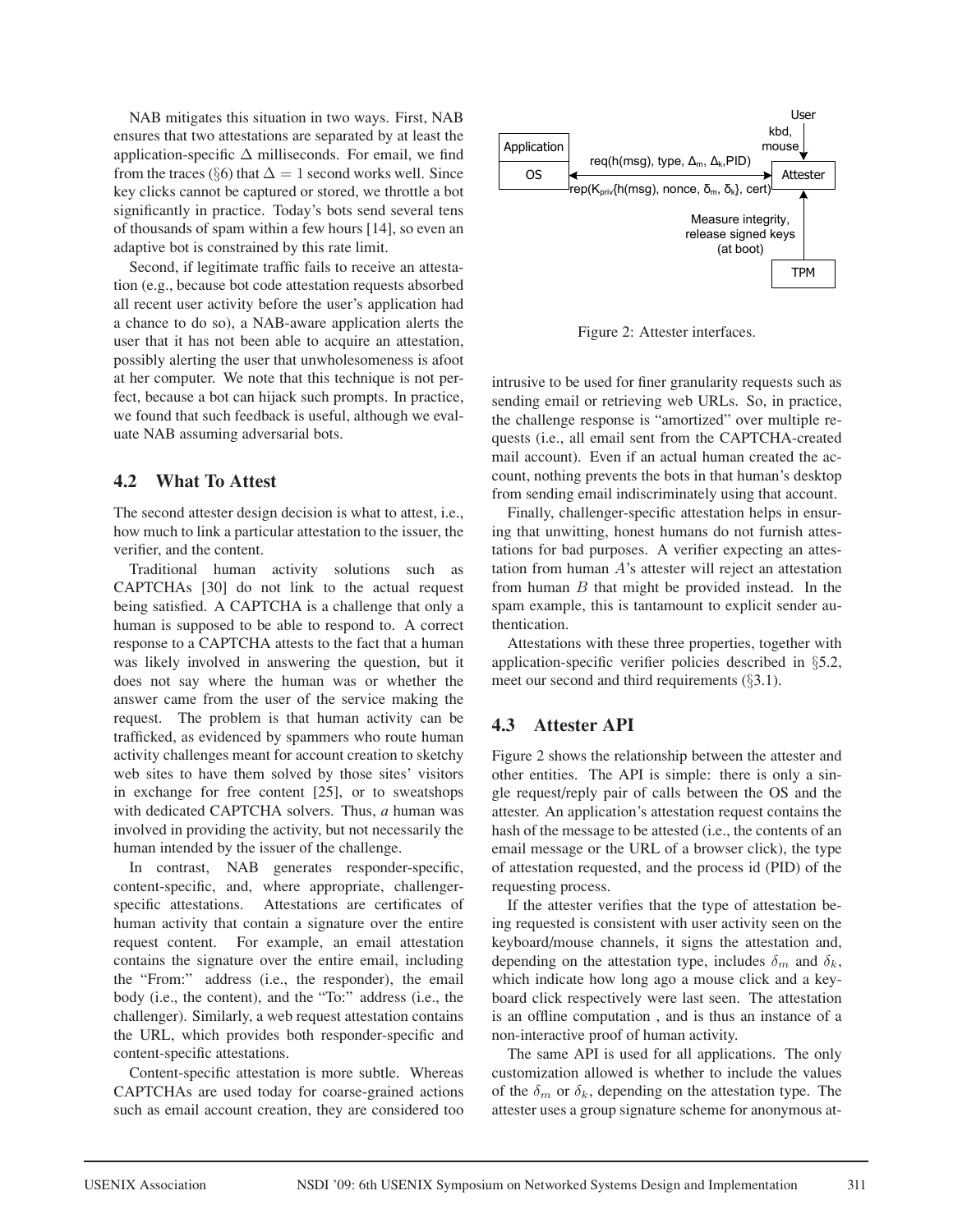NAB mitigates this situation in two ways. First, NAB ensures that two attestations are separated by at least the application-specific  $\Delta$  milliseconds. For email, we find from the traces (§6) that  $\Delta=1$  second works well. Since key clicks cannot be captured or stored, we throttle a bot significantly in practice. Today's bots send several tens of thousands of spam within a few hours [14], so even an adaptive bot is constrained by this rate limit.

Second, if legitimate traffic fails to receive an attestation (e.g., because bot code attestation requests absorbed all recent user activity before the user's application had a chance to do so), a NAB-aware application alerts the user that it has not been able to acquire an attestation, possibly alerting the user that unwholesomeness is afoot at her computer. We note that this technique is not perfect, because a bot can hijack such prompts. In practice, we found that such feedback is useful, although we evaluate NAB assuming adversarial bots.

### **4.2 What To Attest**

The second attester design decision is what to attest, i.e., how much to link a particular attestation to the issuer, the verifier, and the content.

Traditional human activity solutions such as CAPTCHAs [30] do not link to the actual request being satisfied. A CAPTCHA is a challenge that only a human is supposed to be able to respond to. A correct response to a CAPTCHA attests to the fact that a human was likely involved in answering the question, but it does not say where the human was or whether the answer came from the user of the service making the request. The problem is that human activity can be trafficked, as evidenced by spammers who route human activity challenges meant for account creation to sketchy web sites to have them solved by those sites' visitors in exchange for free content [25], or to sweatshops with dedicated CAPTCHA solvers. Thus, *a* human was involved in providing the activity, but not necessarily the human intended by the issuer of the challenge.

In contrast, NAB generates responder-specific, content-specific, and, where appropriate, challengerspecific attestations. Attestations are certificates of human activity that contain a signature over the entire request content. For example, an email attestation contains the signature over the entire email, including the "From:" address (i.e., the responder), the email body (i.e., the content), and the "To:" address (i.e., the challenger). Similarly, a web request attestation contains the URL, which provides both responder-specific and content-specific attestations.

Content-specific attestation is more subtle. Whereas CAPTCHAs are used today for coarse-grained actions such as email account creation, they are considered too



Figure 2: Attester interfaces.

intrusive to be used for finer granularity requests such as sending email or retrieving web URLs. So, in practice, the challenge response is "amortized" over multiple requests (i.e., all email sent from the CAPTCHA-created mail account). Even if an actual human created the account, nothing prevents the bots in that human's desktop from sending email indiscriminately using that account.

Finally, challenger-specific attestation helps in ensuring that unwitting, honest humans do not furnish attestations for bad purposes. A verifier expecting an attestation from human A's attester will reject an attestation from human  $B$  that might be provided instead. In the spam example, this is tantamount to explicit sender authentication.

Attestations with these three properties, together with application-specific verifier policies described in §5.2, meet our second and third requirements  $(\S 3.1)$ .

## **4.3 Attester API**

Figure 2 shows the relationship between the attester and other entities. The API is simple: there is only a single request/reply pair of calls between the OS and the attester. An application's attestation request contains the hash of the message to be attested (i.e., the contents of an email message or the URL of a browser click), the type of attestation requested, and the process id (PID) of the requesting process.

If the attester verifies that the type of attestation being requested is consistent with user activity seen on the keyboard/mouse channels, it signs the attestation and, depending on the attestation type, includes  $\delta_m$  and  $\delta_k$ , which indicate how long ago a mouse click and a keyboard click respectively were last seen. The attestation is an offline computation , and is thus an instance of a non-interactive proof of human activity.

The same API is used for all applications. The only customization allowed is whether to include the values of the  $\delta_m$  or  $\delta_k$ , depending on the attestation type. The attester uses a group signature scheme for anonymous at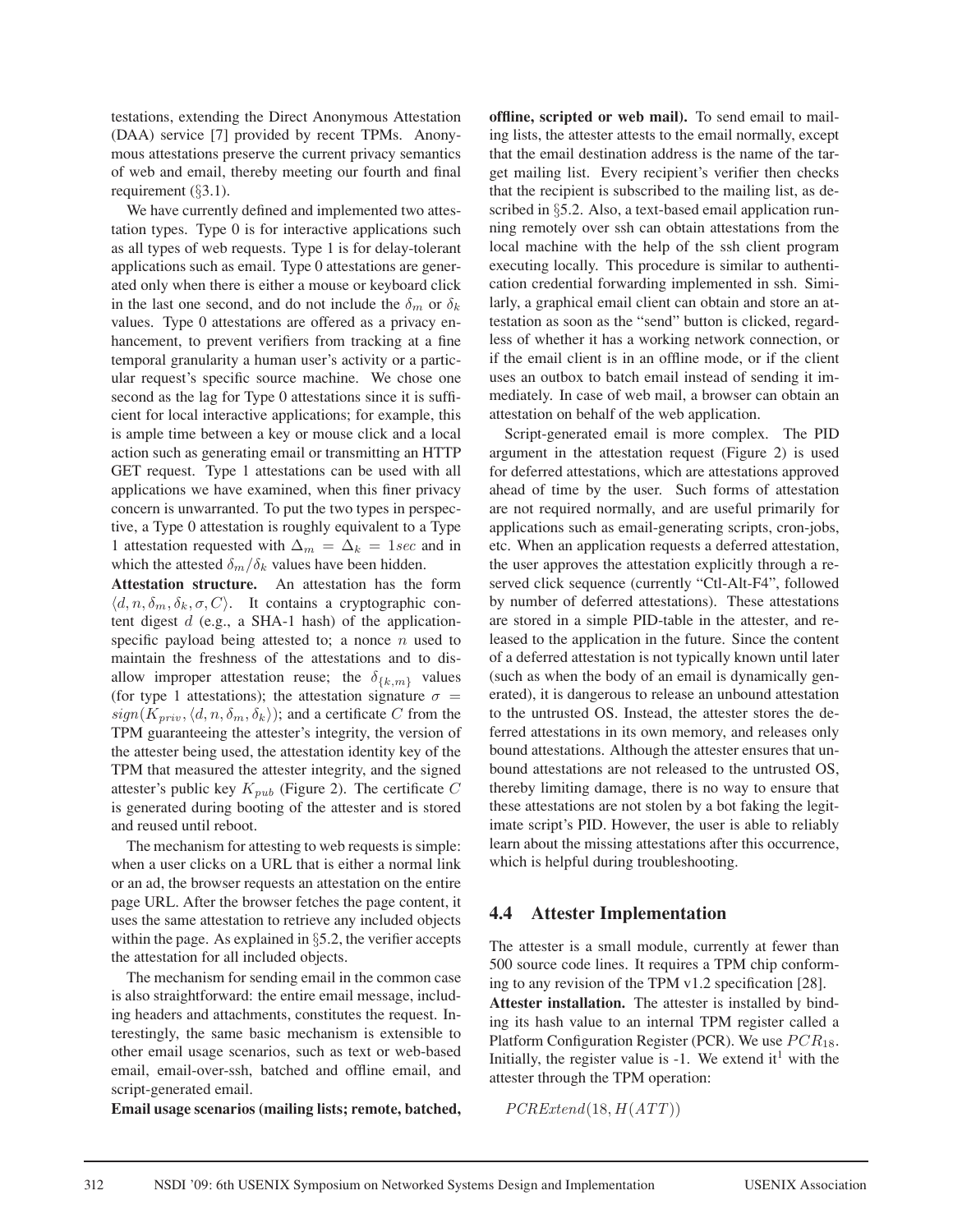testations, extending the Direct Anonymous Attestation (DAA) service [7] provided by recent TPMs. Anonymous attestations preserve the current privacy semantics of web and email, thereby meeting our fourth and final requirement  $(\S 3.1)$ .

We have currently defined and implemented two attestation types. Type 0 is for interactive applications such as all types of web requests. Type 1 is for delay-tolerant applications such as email. Type 0 attestations are generated only when there is either a mouse or keyboard click in the last one second, and do not include the  $\delta_m$  or  $\delta_k$ values. Type 0 attestations are offered as a privacy enhancement, to prevent verifiers from tracking at a fine temporal granularity a human user's activity or a particular request's specific source machine. We chose one second as the lag for Type 0 attestations since it is sufficient for local interactive applications; for example, this is ample time between a key or mouse click and a local action such as generating email or transmitting an HTTP GET request. Type 1 attestations can be used with all applications we have examined, when this finer privacy concern is unwarranted. To put the two types in perspective, a Type 0 attestation is roughly equivalent to a Type 1 attestation requested with  $\Delta_m = \Delta_k = 1 sec$  and in which the attested  $\delta_m/\delta_k$  values have been hidden.

**Attestation structure.** An attestation has the form  $\langle d, n, \delta_m, \delta_k, \sigma, C \rangle$ . It contains a cryptographic content digest  $d$  (e.g., a SHA-1 hash) of the applicationspecific payload being attested to; a nonce  $n$  used to maintain the freshness of the attestations and to disallow improper attestation reuse; the  $\delta_{\{k,m\}}$  values (for type 1 attestations); the attestation signature  $\sigma =$  $sign(K_{priv}, \langle d, n, \delta_m, \delta_k \rangle)$ ; and a certificate C from the TPM guaranteeing the attester's integrity, the version of the attester being used, the attestation identity key of the TPM that measured the attester integrity, and the signed attester's public key  $K_{pub}$  (Figure 2). The certificate C is generated during booting of the attester and is stored and reused until reboot.

The mechanism for attesting to web requests is simple: when a user clicks on a URL that is either a normal link or an ad, the browser requests an attestation on the entire page URL. After the browser fetches the page content, it uses the same attestation to retrieve any included objects within the page. As explained in §5.2, the verifier accepts the attestation for all included objects.

The mechanism for sending email in the common case is also straightforward: the entire email message, including headers and attachments, constitutes the request. Interestingly, the same basic mechanism is extensible to other email usage scenarios, such as text or web-based email, email-over-ssh, batched and offline email, and script-generated email.

**Email usage scenarios (mailing lists; remote, batched,**

**offline, scripted or web mail).** To send email to mailing lists, the attester attests to the email normally, except that the email destination address is the name of the target mailing list. Every recipient's verifier then checks that the recipient is subscribed to the mailing list, as described in §5.2. Also, a text-based email application running remotely over ssh can obtain attestations from the local machine with the help of the ssh client program executing locally. This procedure is similar to authentication credential forwarding implemented in ssh. Similarly, a graphical email client can obtain and store an attestation as soon as the "send" button is clicked, regardless of whether it has a working network connection, or if the email client is in an offline mode, or if the client uses an outbox to batch email instead of sending it immediately. In case of web mail, a browser can obtain an attestation on behalf of the web application.

Script-generated email is more complex. The PID argument in the attestation request (Figure 2) is used for deferred attestations, which are attestations approved ahead of time by the user. Such forms of attestation are not required normally, and are useful primarily for applications such as email-generating scripts, cron-jobs, etc. When an application requests a deferred attestation, the user approves the attestation explicitly through a reserved click sequence (currently "Ctl-Alt-F4", followed by number of deferred attestations). These attestations are stored in a simple PID-table in the attester, and released to the application in the future. Since the content of a deferred attestation is not typically known until later (such as when the body of an email is dynamically generated), it is dangerous to release an unbound attestation to the untrusted OS. Instead, the attester stores the deferred attestations in its own memory, and releases only bound attestations. Although the attester ensures that unbound attestations are not released to the untrusted OS, thereby limiting damage, there is no way to ensure that these attestations are not stolen by a bot faking the legitimate script's PID. However, the user is able to reliably learn about the missing attestations after this occurrence, which is helpful during troubleshooting.

#### **4.4 Attester Implementation**

The attester is a small module, currently at fewer than 500 source code lines. It requires a TPM chip conforming to any revision of the TPM v1.2 specification [28]. **Attester installation.** The attester is installed by binding its hash value to an internal TPM register called a Platform Configuration Register (PCR). We use  $PCR_{18}$ . Initially, the register value is  $-1$ . We extend it<sup>1</sup> with the attester through the TPM operation:

 $PCRExtend(18, H(ATT))$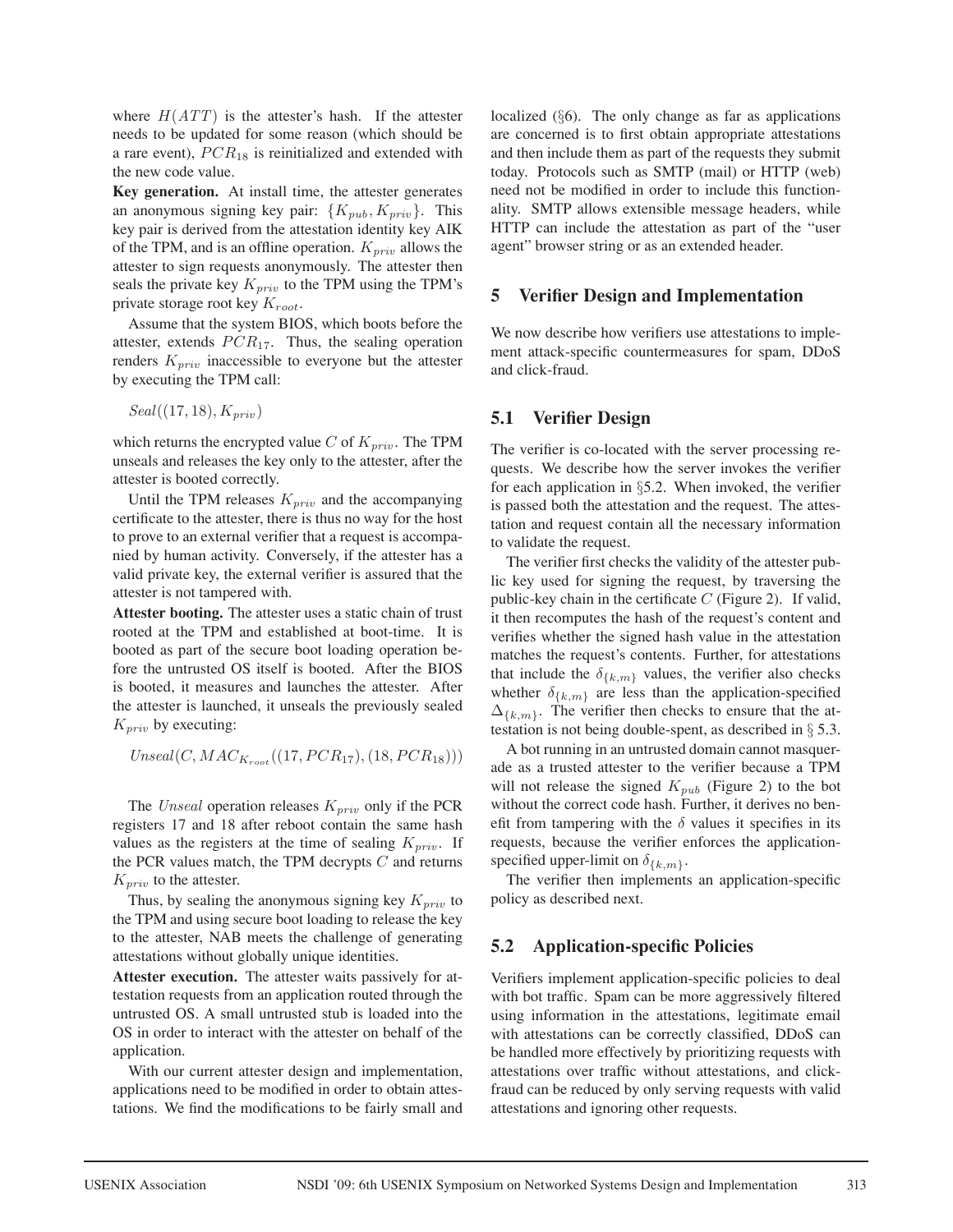where  $H(ATT)$  is the attester's hash. If the attester needs to be updated for some reason (which should be a rare event),  $PCR_{18}$  is reinitialized and extended with the new code value.

**Key generation.** At install time, the attester generates an anonymous signing key pair:  $\{K_{pub}, K_{priv}\}.$  This key pair is derived from the attestation identity key AIK of the TPM, and is an offline operation.  $K_{priv}$  allows the attester to sign requests anonymously. The attester then seals the private key  $K_{priv}$  to the TPM using the TPM's private storage root key  $K_{root}$ .

Assume that the system BIOS, which boots before the attester, extends  $PCR_{17}$ . Thus, the sealing operation renders  $K_{priv}$  inaccessible to everyone but the attester by executing the TPM call:

$$
Seal((17, 18), K_{priv})
$$

which returns the encrypted value C of  $K_{\text{priv}}$ . The TPM unseals and releases the key only to the attester, after the attester is booted correctly.

Until the TPM releases  $K_{priv}$  and the accompanying certificate to the attester, there is thus no way for the host to prove to an external verifier that a request is accompanied by human activity. Conversely, if the attester has a valid private key, the external verifier is assured that the attester is not tampered with.

**Attester booting.** The attester uses a static chain of trust rooted at the TPM and established at boot-time. It is booted as part of the secure boot loading operation before the untrusted OS itself is booted. After the BIOS is booted, it measures and launches the attester. After the attester is launched, it unseals the previously sealed  $K_{priv}$  by executing:

 $Unseal(C, MAC_{K_{root}}((17, PCR_{17}), (18, PCR_{18})))$ 

The *Unseal* operation releases  $K_{priv}$  only if the PCR registers 17 and 18 after reboot contain the same hash values as the registers at the time of sealing  $K_{priv}$ . If the PCR values match, the TPM decrypts  $C$  and returns  $K_{priv}$  to the attester.

Thus, by sealing the anonymous signing key  $K_{priv}$  to the TPM and using secure boot loading to release the key to the attester, NAB meets the challenge of generating attestations without globally unique identities.

**Attester execution.** The attester waits passively for attestation requests from an application routed through the untrusted OS. A small untrusted stub is loaded into the OS in order to interact with the attester on behalf of the application.

With our current attester design and implementation, applications need to be modified in order to obtain attestations. We find the modifications to be fairly small and localized (§6). The only change as far as applications are concerned is to first obtain appropriate attestations and then include them as part of the requests they submit today. Protocols such as SMTP (mail) or HTTP (web) need not be modified in order to include this functionality. SMTP allows extensible message headers, while HTTP can include the attestation as part of the "user agent" browser string or as an extended header.

### **5 Verifier Design and Implementation**

We now describe how verifiers use attestations to implement attack-specific countermeasures for spam, DDoS and click-fraud.

## **5.1 Verifier Design**

The verifier is co-located with the server processing requests. We describe how the server invokes the verifier for each application in §5.2. When invoked, the verifier is passed both the attestation and the request. The attestation and request contain all the necessary information to validate the request.

The verifier first checks the validity of the attester public key used for signing the request, by traversing the public-key chain in the certificate  $C$  (Figure 2). If valid, it then recomputes the hash of the request's content and verifies whether the signed hash value in the attestation matches the request's contents. Further, for attestations that include the  $\delta_{\{k,m\}}$  values, the verifier also checks whether  $\delta_{\{k,m\}}$  are less than the application-specified  $\Delta_{\{k,m\}}$ . The verifier then checks to ensure that the attestation is not being double-spent, as described in § 5.3.

A bot running in an untrusted domain cannot masquerade as a trusted attester to the verifier because a TPM will not release the signed  $K_{pub}$  (Figure 2) to the bot without the correct code hash. Further, it derives no benefit from tampering with the  $\delta$  values it specifies in its requests, because the verifier enforces the applicationspecified upper-limit on  $\delta_{\{k,m\}}$ .

The verifier then implements an application-specific policy as described next.

## **5.2 Application-specific Policies**

Verifiers implement application-specific policies to deal with bot traffic. Spam can be more aggressively filtered using information in the attestations, legitimate email with attestations can be correctly classified, DDoS can be handled more effectively by prioritizing requests with attestations over traffic without attestations, and clickfraud can be reduced by only serving requests with valid attestations and ignoring other requests.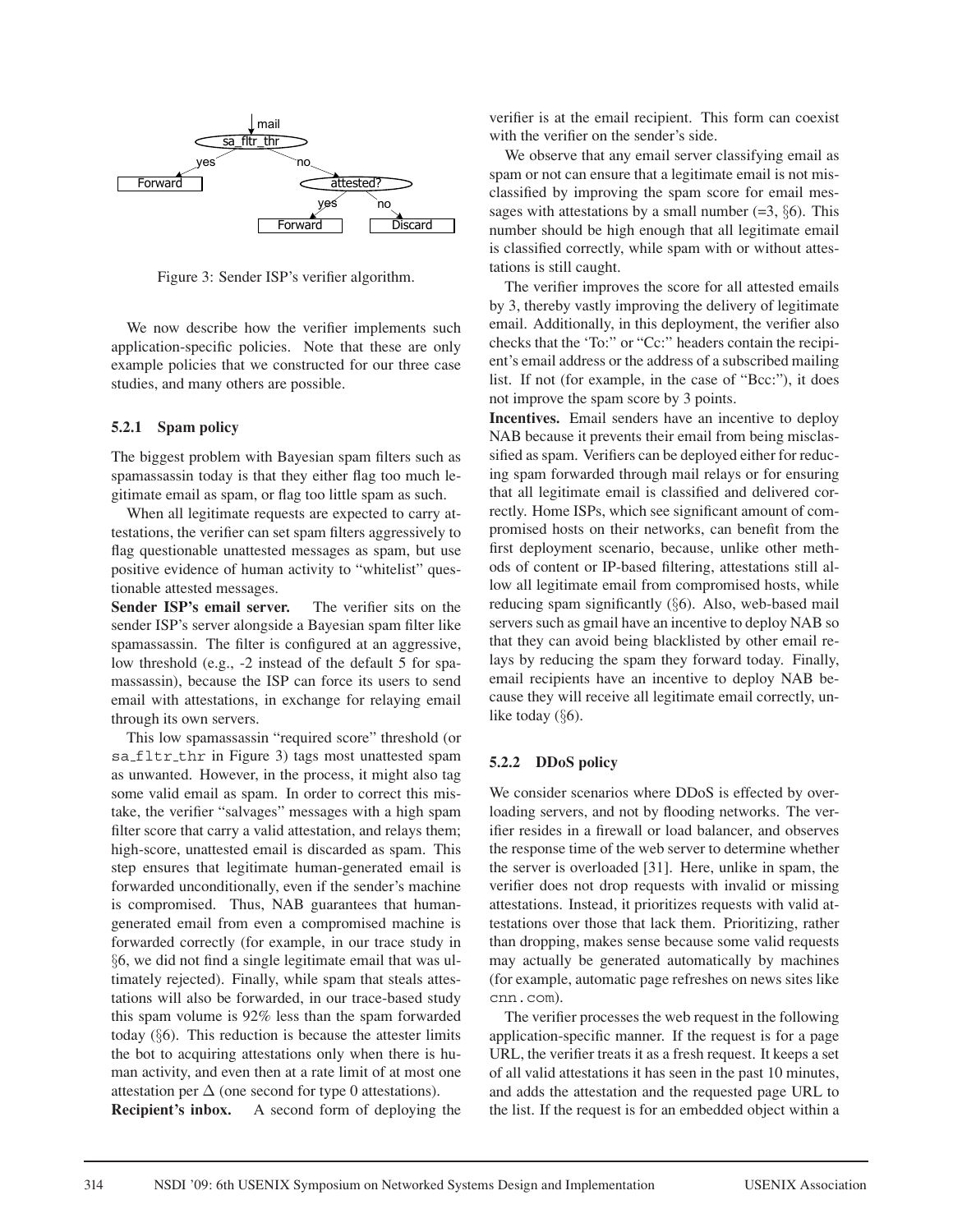

Figure 3: Sender ISP's verifier algorithm.

We now describe how the verifier implements such application-specific policies. Note that these are only example policies that we constructed for our three case studies, and many others are possible.

#### **5.2.1 Spam policy**

The biggest problem with Bayesian spam filters such as spamassassin today is that they either flag too much legitimate email as spam, or flag too little spam as such.

When all legitimate requests are expected to carry attestations, the verifier can set spam filters aggressively to flag questionable unattested messages as spam, but use positive evidence of human activity to "whitelist" questionable attested messages.

**Sender ISP's email server.** The verifier sits on the sender ISP's server alongside a Bayesian spam filter like spamassassin. The filter is configured at an aggressive, low threshold (e.g., -2 instead of the default 5 for spamassassin), because the ISP can force its users to send email with attestations, in exchange for relaying email through its own servers.

This low spamassassin "required score" threshold (or sa\_fltr\_thr in Figure 3) tags most unattested spam as unwanted. However, in the process, it might also tag some valid email as spam. In order to correct this mistake, the verifier "salvages" messages with a high spam filter score that carry a valid attestation, and relays them; high-score, unattested email is discarded as spam. This step ensures that legitimate human-generated email is forwarded unconditionally, even if the sender's machine is compromised. Thus, NAB guarantees that humangenerated email from even a compromised machine is forwarded correctly (for example, in our trace study in §6, we did not find a single legitimate email that was ultimately rejected). Finally, while spam that steals attestations will also be forwarded, in our trace-based study this spam volume is 92% less than the spam forwarded today  $(\S6)$ . This reduction is because the attester limits the bot to acquiring attestations only when there is human activity, and even then at a rate limit of at most one attestation per  $\Delta$  (one second for type 0 attestations).

**Recipient's inbox.** A second form of deploying the

verifier is at the email recipient. This form can coexist with the verifier on the sender's side.

We observe that any email server classifying email as spam or not can ensure that a legitimate email is not misclassified by improving the spam score for email messages with attestations by a small number  $(=3, §6)$ . This number should be high enough that all legitimate email is classified correctly, while spam with or without attestations is still caught.

The verifier improves the score for all attested emails by 3, thereby vastly improving the delivery of legitimate email. Additionally, in this deployment, the verifier also checks that the 'To:" or "Cc:" headers contain the recipient's email address or the address of a subscribed mailing list. If not (for example, in the case of "Bcc:"), it does not improve the spam score by 3 points.

**Incentives.** Email senders have an incentive to deploy NAB because it prevents their email from being misclassified as spam. Verifiers can be deployed either for reducing spam forwarded through mail relays or for ensuring that all legitimate email is classified and delivered correctly. Home ISPs, which see significant amount of compromised hosts on their networks, can benefit from the first deployment scenario, because, unlike other methods of content or IP-based filtering, attestations still allow all legitimate email from compromised hosts, while reducing spam significantly (§6). Also, web-based mail servers such as gmail have an incentive to deploy NAB so that they can avoid being blacklisted by other email relays by reducing the spam they forward today. Finally, email recipients have an incentive to deploy NAB because they will receive all legitimate email correctly, unlike today (§6).

#### **5.2.2 DDoS policy**

We consider scenarios where DDoS is effected by overloading servers, and not by flooding networks. The verifier resides in a firewall or load balancer, and observes the response time of the web server to determine whether the server is overloaded [31]. Here, unlike in spam, the verifier does not drop requests with invalid or missing attestations. Instead, it prioritizes requests with valid attestations over those that lack them. Prioritizing, rather than dropping, makes sense because some valid requests may actually be generated automatically by machines (for example, automatic page refreshes on news sites like cnn.com).

The verifier processes the web request in the following application-specific manner. If the request is for a page URL, the verifier treats it as a fresh request. It keeps a set of all valid attestations it has seen in the past 10 minutes, and adds the attestation and the requested page URL to the list. If the request is for an embedded object within a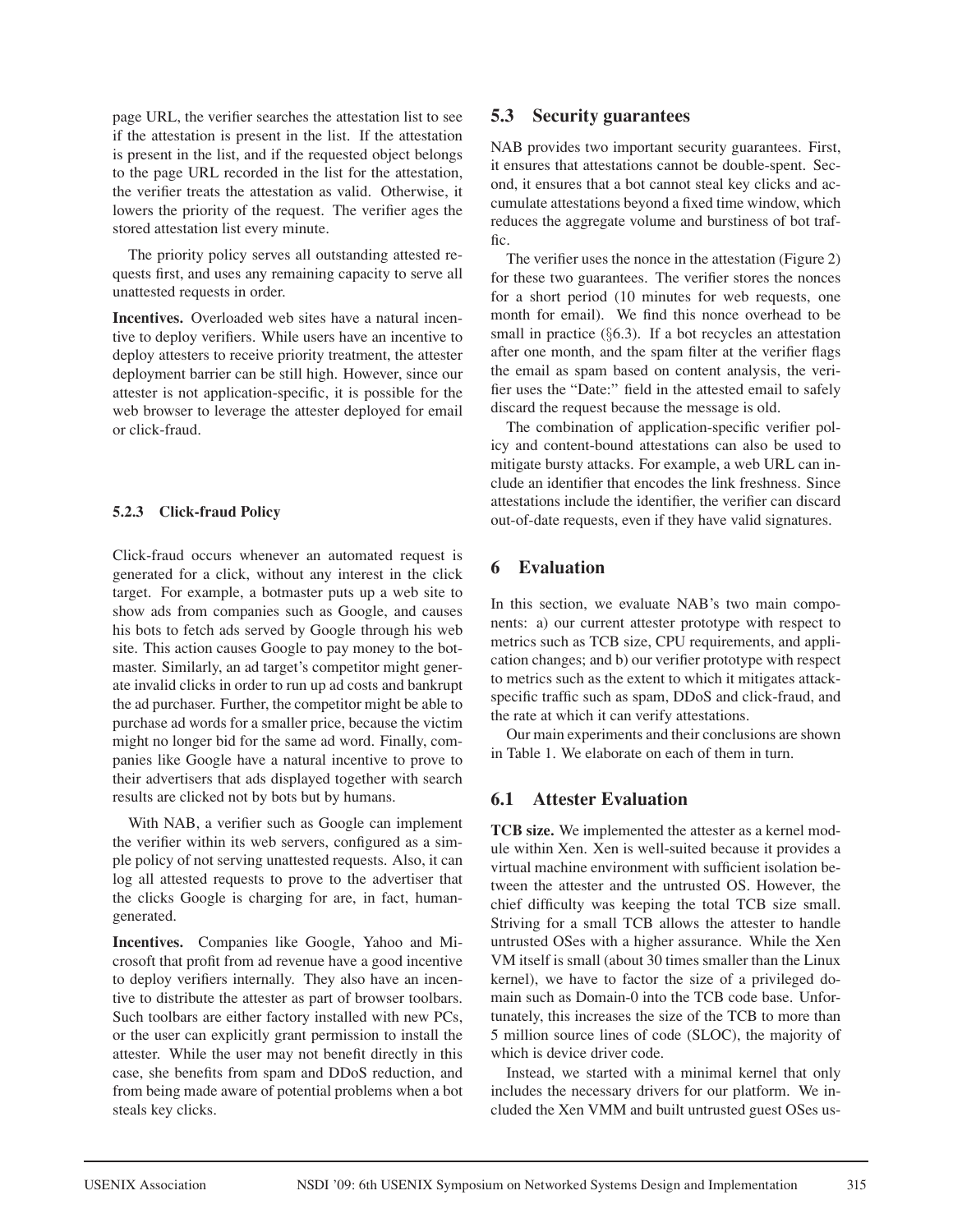page URL, the verifier searches the attestation list to see if the attestation is present in the list. If the attestation is present in the list, and if the requested object belongs to the page URL recorded in the list for the attestation, the verifier treats the attestation as valid. Otherwise, it lowers the priority of the request. The verifier ages the stored attestation list every minute.

The priority policy serves all outstanding attested requests first, and uses any remaining capacity to serve all unattested requests in order.

**Incentives.** Overloaded web sites have a natural incentive to deploy verifiers. While users have an incentive to deploy attesters to receive priority treatment, the attester deployment barrier can be still high. However, since our attester is not application-specific, it is possible for the web browser to leverage the attester deployed for email or click-fraud.

### **5.2.3 Click-fraud Policy**

Click-fraud occurs whenever an automated request is generated for a click, without any interest in the click target. For example, a botmaster puts up a web site to show ads from companies such as Google, and causes his bots to fetch ads served by Google through his web site. This action causes Google to pay money to the botmaster. Similarly, an ad target's competitor might generate invalid clicks in order to run up ad costs and bankrupt the ad purchaser. Further, the competitor might be able to purchase ad words for a smaller price, because the victim might no longer bid for the same ad word. Finally, companies like Google have a natural incentive to prove to their advertisers that ads displayed together with search results are clicked not by bots but by humans.

With NAB, a verifier such as Google can implement the verifier within its web servers, configured as a simple policy of not serving unattested requests. Also, it can log all attested requests to prove to the advertiser that the clicks Google is charging for are, in fact, humangenerated.

**Incentives.** Companies like Google, Yahoo and Microsoft that profit from ad revenue have a good incentive to deploy verifiers internally. They also have an incentive to distribute the attester as part of browser toolbars. Such toolbars are either factory installed with new PCs, or the user can explicitly grant permission to install the attester. While the user may not benefit directly in this case, she benefits from spam and DDoS reduction, and from being made aware of potential problems when a bot steals key clicks.

## **5.3 Security guarantees**

NAB provides two important security guarantees. First, it ensures that attestations cannot be double-spent. Second, it ensures that a bot cannot steal key clicks and accumulate attestations beyond a fixed time window, which reduces the aggregate volume and burstiness of bot traffic.

The verifier uses the nonce in the attestation (Figure 2) for these two guarantees. The verifier stores the nonces for a short period (10 minutes for web requests, one month for email). We find this nonce overhead to be small in practice (§6.3). If a bot recycles an attestation after one month, and the spam filter at the verifier flags the email as spam based on content analysis, the verifier uses the "Date:" field in the attested email to safely discard the request because the message is old.

The combination of application-specific verifier policy and content-bound attestations can also be used to mitigate bursty attacks. For example, a web URL can include an identifier that encodes the link freshness. Since attestations include the identifier, the verifier can discard out-of-date requests, even if they have valid signatures.

# **6 Evaluation**

In this section, we evaluate NAB's two main components: a) our current attester prototype with respect to metrics such as TCB size, CPU requirements, and application changes; and b) our verifier prototype with respect to metrics such as the extent to which it mitigates attackspecific traffic such as spam, DDoS and click-fraud, and the rate at which it can verify attestations.

Our main experiments and their conclusions are shown in Table 1. We elaborate on each of them in turn.

## **6.1 Attester Evaluation**

**TCB size.** We implemented the attester as a kernel module within Xen. Xen is well-suited because it provides a virtual machine environment with sufficient isolation between the attester and the untrusted OS. However, the chief difficulty was keeping the total TCB size small. Striving for a small TCB allows the attester to handle untrusted OSes with a higher assurance. While the Xen VM itself is small (about 30 times smaller than the Linux kernel), we have to factor the size of a privileged domain such as Domain-0 into the TCB code base. Unfortunately, this increases the size of the TCB to more than 5 million source lines of code (SLOC), the majority of which is device driver code.

Instead, we started with a minimal kernel that only includes the necessary drivers for our platform. We included the Xen VMM and built untrusted guest OSes us-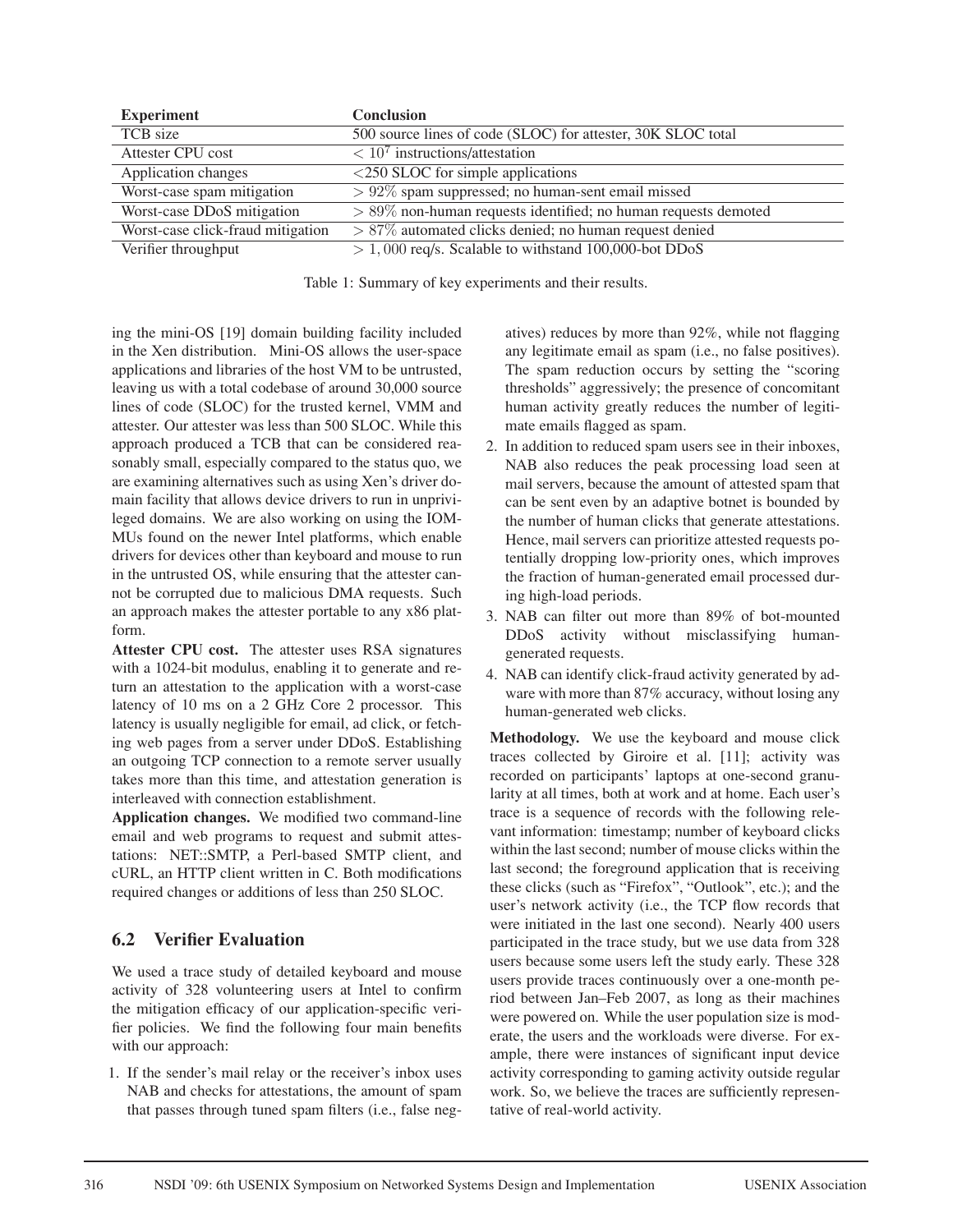| <b>Experiment</b>                 | <b>Conclusion</b>                                                 |
|-----------------------------------|-------------------------------------------------------------------|
| TCB size                          | 500 source lines of code (SLOC) for attester, 30K SLOC total      |
| Attester CPU cost                 | $\sqrt{10^7}$ instructions/attestation                            |
| Application changes               | $\langle$ 250 SLOC for simple applications                        |
| Worst-case spam mitigation        | $> 92\%$ spam suppressed; no human-sent email missed              |
| Worst-case DDoS mitigation        | $> 89\%$ non-human requests identified; no human requests demoted |
| Worst-case click-fraud mitigation | $> 87\%$ automated clicks denied; no human request denied         |
| Verifier throughput               | $> 1,000$ req/s. Scalable to withstand 100,000-bot DDoS           |

Table 1: Summary of key experiments and their results.

ing the mini-OS [19] domain building facility included in the Xen distribution. Mini-OS allows the user-space applications and libraries of the host VM to be untrusted, leaving us with a total codebase of around 30,000 source lines of code (SLOC) for the trusted kernel, VMM and attester. Our attester was less than 500 SLOC. While this approach produced a TCB that can be considered reasonably small, especially compared to the status quo, we are examining alternatives such as using Xen's driver domain facility that allows device drivers to run in unprivileged domains. We are also working on using the IOM-MUs found on the newer Intel platforms, which enable drivers for devices other than keyboard and mouse to run in the untrusted OS, while ensuring that the attester cannot be corrupted due to malicious DMA requests. Such an approach makes the attester portable to any x86 platform.

**Attester CPU cost.** The attester uses RSA signatures with a 1024-bit modulus, enabling it to generate and return an attestation to the application with a worst-case latency of 10 ms on a 2 GHz Core 2 processor. This latency is usually negligible for email, ad click, or fetching web pages from a server under DDoS. Establishing an outgoing TCP connection to a remote server usually takes more than this time, and attestation generation is interleaved with connection establishment.

**Application changes.** We modified two command-line email and web programs to request and submit attestations: NET::SMTP, a Perl-based SMTP client, and cURL, an HTTP client written in C. Both modifications required changes or additions of less than 250 SLOC.

## **6.2 Verifier Evaluation**

We used a trace study of detailed keyboard and mouse activity of 328 volunteering users at Intel to confirm the mitigation efficacy of our application-specific verifier policies. We find the following four main benefits with our approach:

1. If the sender's mail relay or the receiver's inbox uses NAB and checks for attestations, the amount of spam that passes through tuned spam filters (i.e., false negatives) reduces by more than 92%, while not flagging any legitimate email as spam (i.e., no false positives). The spam reduction occurs by setting the "scoring thresholds" aggressively; the presence of concomitant human activity greatly reduces the number of legitimate emails flagged as spam.

- 2. In addition to reduced spam users see in their inboxes, NAB also reduces the peak processing load seen at mail servers, because the amount of attested spam that can be sent even by an adaptive botnet is bounded by the number of human clicks that generate attestations. Hence, mail servers can prioritize attested requests potentially dropping low-priority ones, which improves the fraction of human-generated email processed during high-load periods.
- 3. NAB can filter out more than 89% of bot-mounted DDoS activity without misclassifying humangenerated requests.
- 4. NAB can identify click-fraud activity generated by adware with more than 87% accuracy, without losing any human-generated web clicks.

**Methodology.** We use the keyboard and mouse click traces collected by Giroire et al. [11]; activity was recorded on participants' laptops at one-second granularity at all times, both at work and at home. Each user's trace is a sequence of records with the following relevant information: timestamp; number of keyboard clicks within the last second; number of mouse clicks within the last second; the foreground application that is receiving these clicks (such as "Firefox", "Outlook", etc.); and the user's network activity (i.e., the TCP flow records that were initiated in the last one second). Nearly 400 users participated in the trace study, but we use data from 328 users because some users left the study early. These 328 users provide traces continuously over a one-month period between Jan–Feb 2007, as long as their machines were powered on. While the user population size is moderate, the users and the workloads were diverse. For example, there were instances of significant input device activity corresponding to gaming activity outside regular work. So, we believe the traces are sufficiently representative of real-world activity.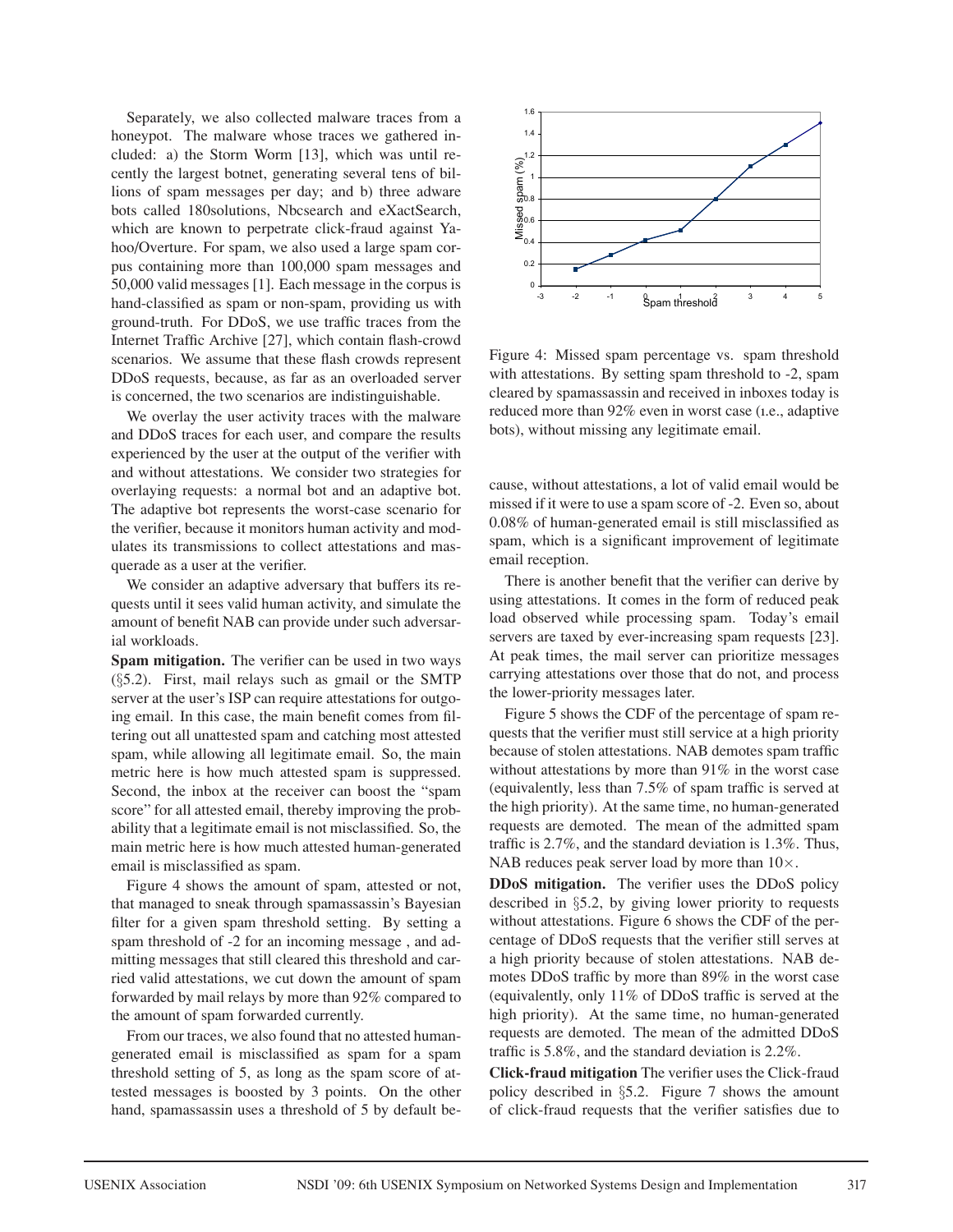Separately, we also collected malware traces from a honeypot. The malware whose traces we gathered included: a) the Storm Worm [13], which was until recently the largest botnet, generating several tens of billions of spam messages per day; and b) three adware bots called 180solutions, Nbcsearch and eXactSearch, which are known to perpetrate click-fraud against Yahoo/Overture. For spam, we also used a large spam corpus containing more than 100,000 spam messages and 50,000 valid messages [1]. Each message in the corpus is hand-classified as spam or non-spam, providing us with ground-truth. For DDoS, we use traffic traces from the Internet Traffic Archive [27], which contain flash-crowd scenarios. We assume that these flash crowds represent DDoS requests, because, as far as an overloaded server is concerned, the two scenarios are indistinguishable.

We overlay the user activity traces with the malware and DDoS traces for each user, and compare the results experienced by the user at the output of the verifier with and without attestations. We consider two strategies for overlaying requests: a normal bot and an adaptive bot. The adaptive bot represents the worst-case scenario for the verifier, because it monitors human activity and modulates its transmissions to collect attestations and masquerade as a user at the verifier.

We consider an adaptive adversary that buffers its requests until it sees valid human activity, and simulate the amount of benefit NAB can provide under such adversarial workloads.

**Spam mitigation.** The verifier can be used in two ways (§5.2). First, mail relays such as gmail or the SMTP server at the user's ISP can require attestations for outgoing email. In this case, the main benefit comes from filtering out all unattested spam and catching most attested spam, while allowing all legitimate email. So, the main metric here is how much attested spam is suppressed. Second, the inbox at the receiver can boost the "spam score" for all attested email, thereby improving the probability that a legitimate email is not misclassified. So, the main metric here is how much attested human-generated email is misclassified as spam.

Figure 4 shows the amount of spam, attested or not, that managed to sneak through spamassassin's Bayesian filter for a given spam threshold setting. By setting a spam threshold of -2 for an incoming message , and admitting messages that still cleared this threshold and carried valid attestations, we cut down the amount of spam forwarded by mail relays by more than 92% compared to the amount of spam forwarded currently.

From our traces, we also found that no attested humangenerated email is misclassified as spam for a spam threshold setting of 5, as long as the spam score of attested messages is boosted by 3 points. On the other hand, spamassassin uses a threshold of 5 by default be-



Figure 4: Missed spam percentage vs. spam threshold with attestations. By setting spam threshold to -2, spam cleared by spamassassin and received in inboxes today is reduced more than 92% even in worst case (ı.e., adaptive bots), without missing any legitimate email.

cause, without attestations, a lot of valid email would be missed if it were to use a spam score of -2. Even so, about 0.08% of human-generated email is still misclassified as spam, which is a significant improvement of legitimate email reception.

There is another benefit that the verifier can derive by using attestations. It comes in the form of reduced peak load observed while processing spam. Today's email servers are taxed by ever-increasing spam requests [23]. At peak times, the mail server can prioritize messages carrying attestations over those that do not, and process the lower-priority messages later.

Figure 5 shows the CDF of the percentage of spam requests that the verifier must still service at a high priority because of stolen attestations. NAB demotes spam traffic without attestations by more than 91% in the worst case (equivalently, less than 7.5% of spam traffic is served at the high priority). At the same time, no human-generated requests are demoted. The mean of the admitted spam traffic is 2.7%, and the standard deviation is 1.3%. Thus, NAB reduces peak server load by more than  $10\times$ .

**DDoS mitigation.** The verifier uses the DDoS policy described in §5.2, by giving lower priority to requests without attestations. Figure 6 shows the CDF of the percentage of DDoS requests that the verifier still serves at a high priority because of stolen attestations. NAB demotes DDoS traffic by more than 89% in the worst case (equivalently, only 11% of DDoS traffic is served at the high priority). At the same time, no human-generated requests are demoted. The mean of the admitted DDoS traffic is 5.8%, and the standard deviation is 2.2%.

**Click-fraud mitigation** The verifier uses the Click-fraud policy described in §5.2. Figure 7 shows the amount of click-fraud requests that the verifier satisfies due to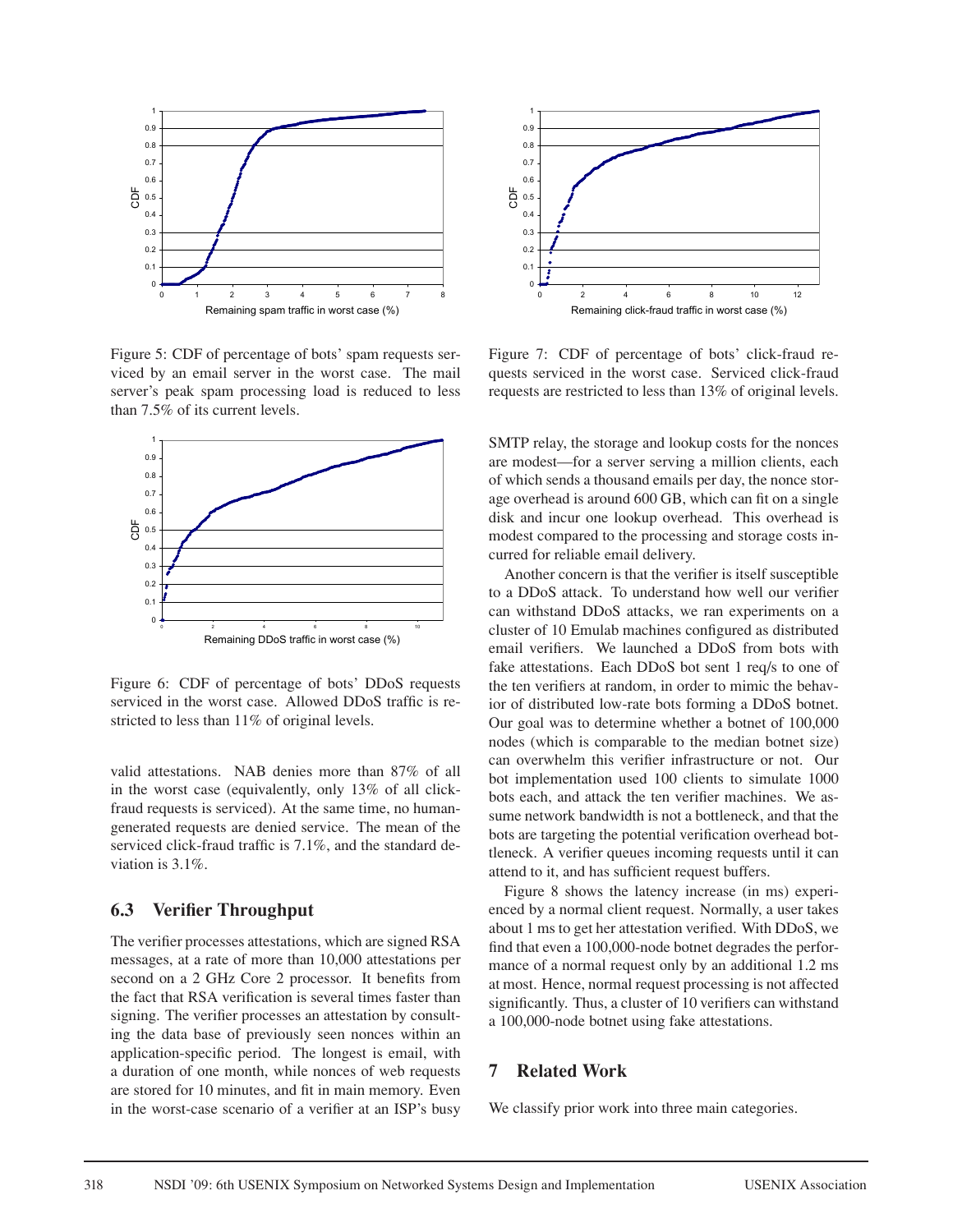

Figure 5: CDF of percentage of bots' spam requests serviced by an email server in the worst case. The mail server's peak spam processing load is reduced to less than 7.5% of its current levels.



Figure 6: CDF of percentage of bots' DDoS requests serviced in the worst case. Allowed DDoS traffic is restricted to less than 11% of original levels.

valid attestations. NAB denies more than 87% of all in the worst case (equivalently, only 13% of all clickfraud requests is serviced). At the same time, no humangenerated requests are denied service. The mean of the serviced click-fraud traffic is 7.1%, and the standard deviation is 3.1%.

#### **6.3 Verifier Throughput**

The verifier processes attestations, which are signed RSA messages, at a rate of more than 10,000 attestations per second on a 2 GHz Core 2 processor. It benefits from the fact that RSA verification is several times faster than signing. The verifier processes an attestation by consulting the data base of previously seen nonces within an application-specific period. The longest is email, with a duration of one month, while nonces of web requests are stored for 10 minutes, and fit in main memory. Even in the worst-case scenario of a verifier at an ISP's busy



Figure 7: CDF of percentage of bots' click-fraud requests serviced in the worst case. Serviced click-fraud requests are restricted to less than 13% of original levels.

SMTP relay, the storage and lookup costs for the nonces are modest—for a server serving a million clients, each of which sends a thousand emails per day, the nonce storage overhead is around 600 GB, which can fit on a single disk and incur one lookup overhead. This overhead is modest compared to the processing and storage costs incurred for reliable email delivery.

Another concern is that the verifier is itself susceptible to a DDoS attack. To understand how well our verifier can withstand DDoS attacks, we ran experiments on a cluster of 10 Emulab machines configured as distributed email verifiers. We launched a DDoS from bots with fake attestations. Each DDoS bot sent 1 req/s to one of the ten verifiers at random, in order to mimic the behavior of distributed low-rate bots forming a DDoS botnet. Our goal was to determine whether a botnet of 100,000 nodes (which is comparable to the median botnet size) can overwhelm this verifier infrastructure or not. Our bot implementation used 100 clients to simulate 1000 bots each, and attack the ten verifier machines. We assume network bandwidth is not a bottleneck, and that the bots are targeting the potential verification overhead bottleneck. A verifier queues incoming requests until it can attend to it, and has sufficient request buffers.

Figure 8 shows the latency increase (in ms) experienced by a normal client request. Normally, a user takes about 1 ms to get her attestation verified. With DDoS, we find that even a 100,000-node botnet degrades the performance of a normal request only by an additional 1.2 ms at most. Hence, normal request processing is not affected significantly. Thus, a cluster of 10 verifiers can withstand a 100,000-node botnet using fake attestations.

#### **7 Related Work**

We classify prior work into three main categories.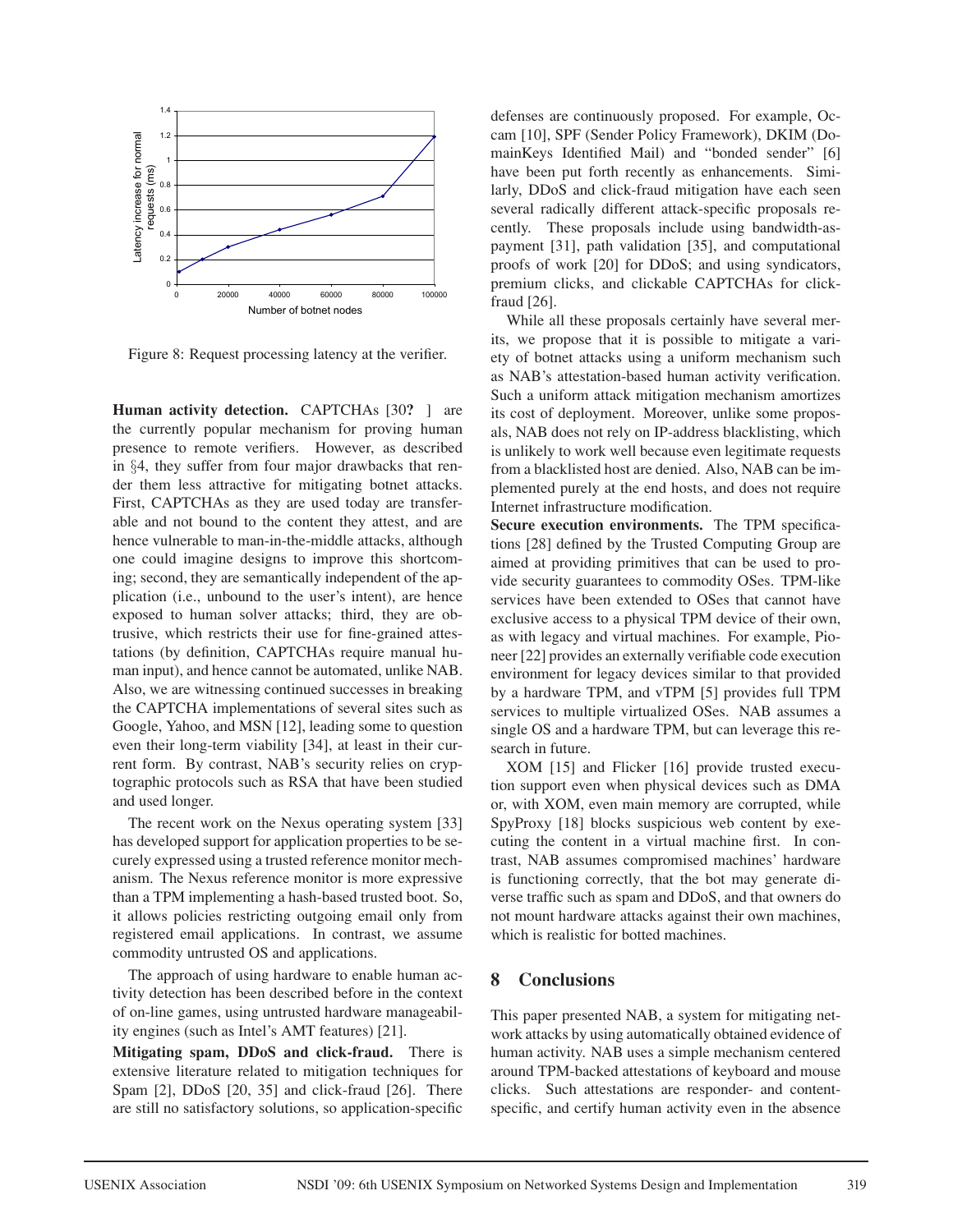

Figure 8: Request processing latency at the verifier.

**Human activity detection.** CAPTCHAs [30**?** ] are the currently popular mechanism for proving human presence to remote verifiers. However, as described in §4, they suffer from four major drawbacks that render them less attractive for mitigating botnet attacks. First, CAPTCHAs as they are used today are transferable and not bound to the content they attest, and are hence vulnerable to man-in-the-middle attacks, although one could imagine designs to improve this shortcoming; second, they are semantically independent of the application (i.e., unbound to the user's intent), are hence exposed to human solver attacks; third, they are obtrusive, which restricts their use for fine-grained attestations (by definition, CAPTCHAs require manual human input), and hence cannot be automated, unlike NAB. Also, we are witnessing continued successes in breaking the CAPTCHA implementations of several sites such as Google, Yahoo, and MSN [12], leading some to question even their long-term viability [34], at least in their current form. By contrast, NAB's security relies on cryptographic protocols such as RSA that have been studied and used longer.

The recent work on the Nexus operating system [33] has developed support for application properties to be securely expressed using a trusted reference monitor mechanism. The Nexus reference monitor is more expressive than a TPM implementing a hash-based trusted boot. So, it allows policies restricting outgoing email only from registered email applications. In contrast, we assume commodity untrusted OS and applications.

The approach of using hardware to enable human activity detection has been described before in the context of on-line games, using untrusted hardware manageability engines (such as Intel's AMT features) [21].

**Mitigating spam, DDoS and click-fraud.** There is extensive literature related to mitigation techniques for Spam [2], DDoS [20, 35] and click-fraud [26]. There are still no satisfactory solutions, so application-specific defenses are continuously proposed. For example, Occam [10], SPF (Sender Policy Framework), DKIM (DomainKeys Identified Mail) and "bonded sender" [6] have been put forth recently as enhancements. Similarly, DDoS and click-fraud mitigation have each seen several radically different attack-specific proposals recently. These proposals include using bandwidth-aspayment [31], path validation [35], and computational proofs of work [20] for DDoS; and using syndicators, premium clicks, and clickable CAPTCHAs for clickfraud [26].

While all these proposals certainly have several merits, we propose that it is possible to mitigate a variety of botnet attacks using a uniform mechanism such as NAB's attestation-based human activity verification. Such a uniform attack mitigation mechanism amortizes its cost of deployment. Moreover, unlike some proposals, NAB does not rely on IP-address blacklisting, which is unlikely to work well because even legitimate requests from a blacklisted host are denied. Also, NAB can be implemented purely at the end hosts, and does not require Internet infrastructure modification.

**Secure execution environments.** The TPM specifications [28] defined by the Trusted Computing Group are aimed at providing primitives that can be used to provide security guarantees to commodity OSes. TPM-like services have been extended to OSes that cannot have exclusive access to a physical TPM device of their own, as with legacy and virtual machines. For example, Pioneer [22] provides an externally verifiable code execution environment for legacy devices similar to that provided by a hardware TPM, and vTPM [5] provides full TPM services to multiple virtualized OSes. NAB assumes a single OS and a hardware TPM, but can leverage this research in future.

XOM [15] and Flicker [16] provide trusted execution support even when physical devices such as DMA or, with XOM, even main memory are corrupted, while SpyProxy [18] blocks suspicious web content by executing the content in a virtual machine first. In contrast, NAB assumes compromised machines' hardware is functioning correctly, that the bot may generate diverse traffic such as spam and DDoS, and that owners do not mount hardware attacks against their own machines, which is realistic for botted machines.

## **8 Conclusions**

This paper presented NAB, a system for mitigating network attacks by using automatically obtained evidence of human activity. NAB uses a simple mechanism centered around TPM-backed attestations of keyboard and mouse clicks. Such attestations are responder- and contentspecific, and certify human activity even in the absence